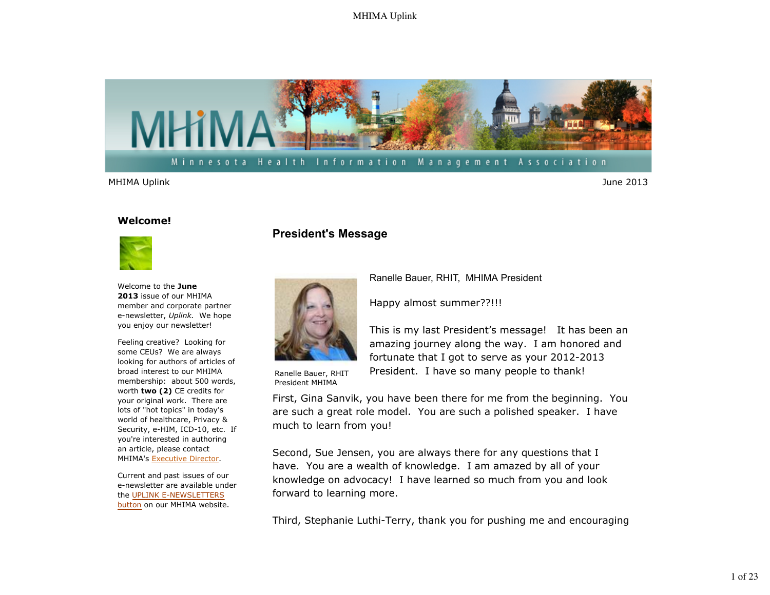

MHIMA Uplink June 2013

#### **Welcome!**



Welcome to the **June 2013** issue of our MHIMA member and corporate partner e-newsletter, *Uplink.* We hope you enjoy our newsletter!

Feeling creative? Looking for some CEUs? We are always looking for authors of articles of broad interest to our MHIMA membership: about 500 words, worth **two (2)** CE credits for your original work. There are lots of "hot topics" in today's world of healthcare, Privacy & Security, e-HIM, ICD-10, etc. If you're interested in authoring an article, please contact MHIMA's Executive Director.

Current and past issues of our e-newsletter are available under the UPLINK E-NEWSLETTERS button on our MHIMA website.

## **President's Message**



Ranelle Bauer, RHIT, MHIMA President

Happy almost summer??!!!

This is my last President's message! It has been an amazing journey along the way. I am honored and fortunate that I got to serve as your 2012-2013 President. I have so many people to thank!

Ranelle Bauer, RHIT President MHIMA

First, Gina Sanvik, you have been there for me from the beginning. You are such a great role model. You are such a polished speaker. I have much to learn from you!

Second, Sue Jensen, you are always there for any questions that I have. You are a wealth of knowledge. I am amazed by all of your knowledge on advocacy! I have learned so much from you and look forward to learning more.

Third, Stephanie Luthi-Terry, thank you for pushing me and encouraging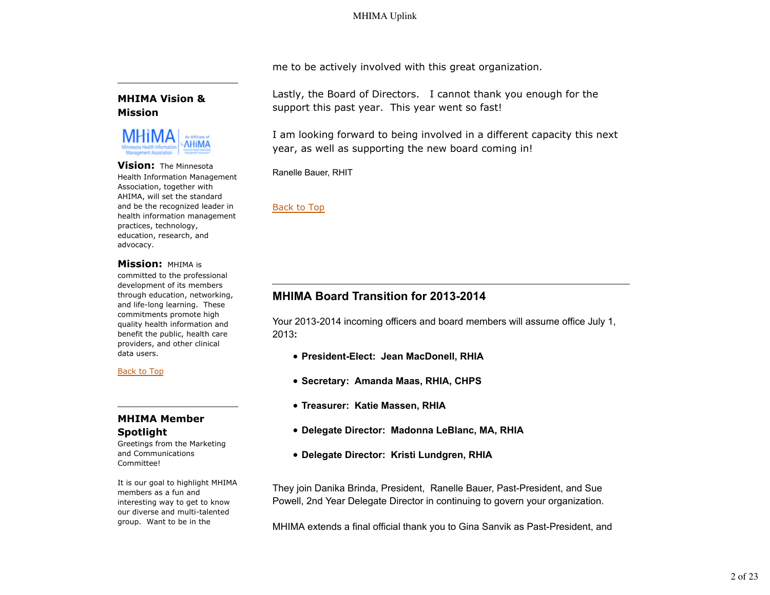me to be actively involved with this great organization.

### **MHIMA Vision & Mission**



#### **Vision:** The Minnesota Health Information Management Association, together with AHIMA, will set the standard and be the recognized leader in health information management practices, technology, education, research, and advocacy.

### **Mission:** MHIMA is

committed to the professional development of its members through education, networking, and life-long learning. These commitments promote high quality health information and benefit the public, health care providers, and other clinical data users.

#### Back to Top

### **MHIMA Member Spotlight**

Greetings from the Marketing and Communications Committee!

It is our goal to highlight MHIMA members as a fun and interesting way to get to know our diverse and multi-talented group. Want to be in the

Lastly, the Board of Directors. I cannot thank you enough for the support this past year. This year went so fast!

I am looking forward to being involved in a different capacity this next year, as well as supporting the new board coming in!

Ranelle Bauer, RHIT

### Back to Top

# **MHIMA Board Transition for 2013-2014**

Your 2013-2014 incoming officers and board members will assume office July 1, 2013**:** 

- **President-Elect: Jean MacDonell, RHIA**
- **Secretary: Amanda Maas, RHIA, CHPS**
- **Treasurer: Katie Massen, RHIA**
- **Delegate Director: Madonna LeBlanc, MA, RHIA**
- **Delegate Director: Kristi Lundgren, RHIA**

They join Danika Brinda, President, Ranelle Bauer, Past-President, and Sue Powell, 2nd Year Delegate Director in continuing to govern your organization.

MHIMA extends a final official thank you to Gina Sanvik as Past-President, and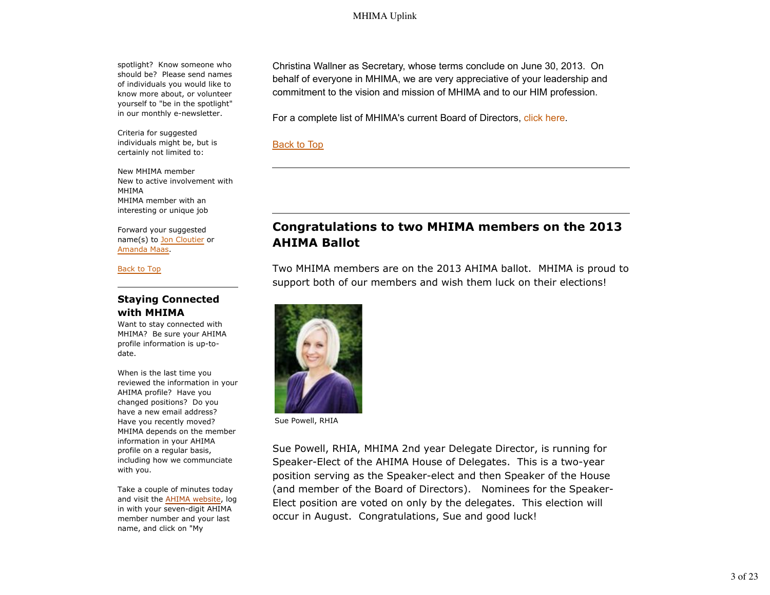spotlight? Know someone who should be? Please send names of individuals you would like to know more about, or volunteer yourself to "be in the spotlight" in our monthly e-newsletter.

Criteria for suggested individuals might be, but is certainly not limited to:

New MHIMA member New to active involvement with MHIMA MHIMA member with an interesting or unique job

Forward your suggested name(s) to Jon Cloutier or Amanda Maas.

Back to Top

### **Staying Connected with MHIMA**

Want to stay connected with MHIMA? Be sure your AHIMA profile information is up-todate.

When is the last time you reviewed the information in your AHIMA profile? Have you changed positions? Do you have a new email address? Have you recently moved? MHIMA depends on the member information in your AHIMA profile on a regular basis, including how we communciate with you.

Take a couple of minutes today and visit the AHIMA website, log in with your seven-digit AHIMA member number and your last name, and click on "My

Christina Wallner as Secretary, whose terms conclude on June 30, 2013. On behalf of everyone in MHIMA, we are very appreciative of your leadership and commitment to the vision and mission of MHIMA and to our HIM profession.

For a complete list of MHIMA's current Board of Directors, click here.

Back to Top

# **Congratulations to two MHIMA members on the 2013 AHIMA Ballot**

Two MHIMA members are on the 2013 AHIMA ballot. MHIMA is proud to support both of our members and wish them luck on their elections!



Sue Powell, RHIA

Sue Powell, RHIA, MHIMA 2nd year Delegate Director, is running for Speaker-Elect of the AHIMA House of Delegates. This is a two-year position serving as the Speaker-elect and then Speaker of the House (and member of the Board of Directors). Nominees for the Speaker-Elect position are voted on only by the delegates. This election will occur in August. Congratulations, Sue and good luck!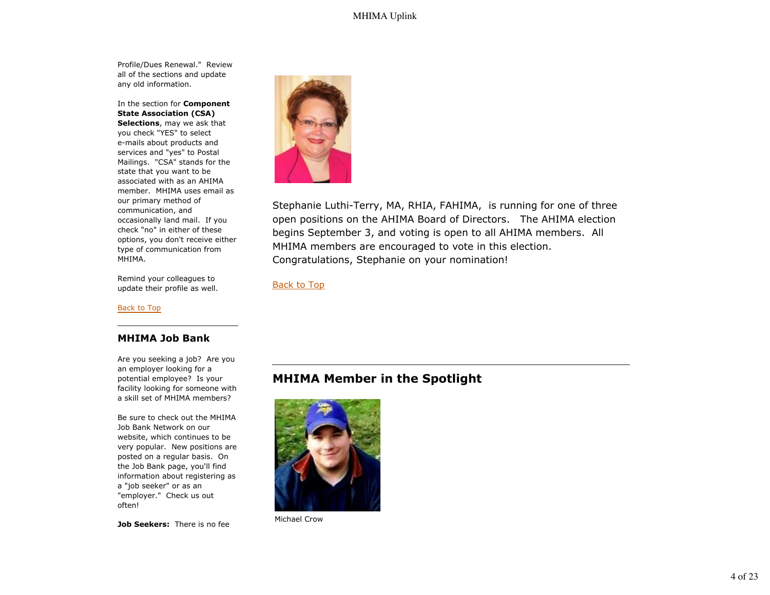Profile/Dues Renewal." Review all of the sections and update any old information.

In the section for **Component State Association (CSA) Selections**, may we ask that you check "YES" to select e-mails about products and services and "yes" to Postal Mailings. "CSA" stands for the state that you want to be associated with as an AHIMA member. MHIMA uses email as our primary method of communication, and occasionally land mail. If you check "no" in either of these options, you don't receive either type of communication from MHIMA.

Remind your colleagues to update their profile as well.

Back to Top

#### **MHIMA Job Bank**

Are you seeking a job? Are you an employer looking for a potential employee? Is your facility looking for someone with a skill set of MHIMA members?

Be sure to check out the MHIMA Job Bank Network on our website, which continues to be very popular. New positions are posted on a regular basis. On the Job Bank page, you'll find information about registering as a "job seeker" or as an "employer." Check us out often!

**Job Seekers:** There is no fee



Stephanie Luthi-Terry, MA, RHIA, FAHIMA, is running for one of three open positions on the AHIMA Board of Directors. The AHIMA election begins September 3, and voting is open to all AHIMA members. All MHIMA members are encouraged to vote in this election. Congratulations, Stephanie on your nomination!

Back to Top

# **MHIMA Member in the Spotlight**



Michael Crow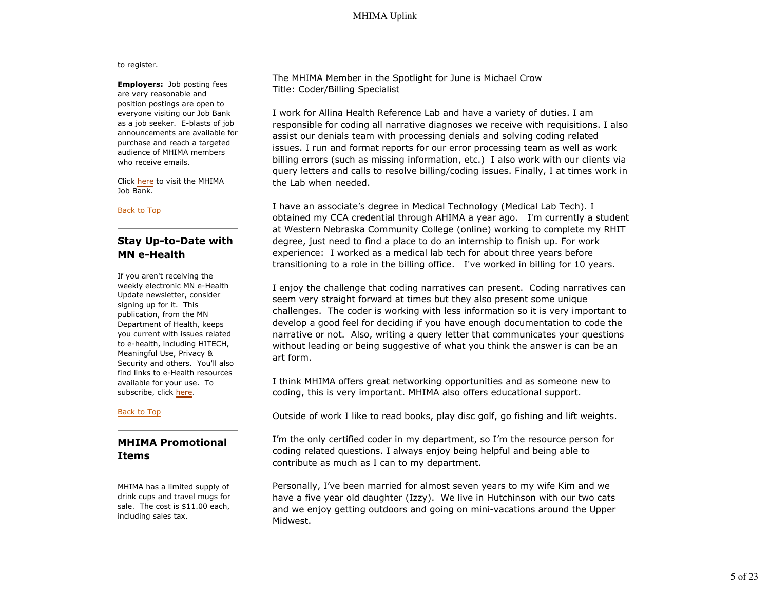to register.

**Employers:** Job posting fees are very reasonable and position postings are open to everyone visiting our Job Bank as a job seeker. E-blasts of job announcements are available for purchase and reach a targeted audience of MHIMA members who receive emails.

Click here to visit the MHIMA Job Bank.

#### Back to Top

### **Stay Up-to-Date with MN e-Health**

If you aren't receiving the weekly electronic MN e-Health Update newsletter, consider signing up for it. This publication, from the MN Department of Health, keeps you current with issues related to e-health, including HITECH, Meaningful Use, Privacy & Security and others. You'll also find links to e-Health resources available for your use. To subscribe, click here.

#### Back to Top

## **MHIMA Promotional Items**

MHIMA has a limited supply of drink cups and travel mugs for sale. The cost is \$11.00 each, including sales tax.

The MHIMA Member in the Spotlight for June is Michael Crow Title: Coder/Billing Specialist

I work for Allina Health Reference Lab and have a variety of duties. I am responsible for coding all narrative diagnoses we receive with requisitions. I also assist our denials team with processing denials and solving coding related issues. I run and format reports for our error processing team as well as work billing errors (such as missing information, etc.) I also work with our clients via query letters and calls to resolve billing/coding issues. Finally, I at times work in the Lab when needed.

I have an associate's degree in Medical Technology (Medical Lab Tech). I obtained my CCA credential through AHIMA a year ago. I'm currently a student at Western Nebraska Community College (online) working to complete my RHIT degree, just need to find a place to do an internship to finish up. For work experience: I worked as a medical lab tech for about three years before transitioning to a role in the billing office. I've worked in billing for 10 years.

I enjoy the challenge that coding narratives can present. Coding narratives can seem very straight forward at times but they also present some unique challenges. The coder is working with less information so it is very important to develop a good feel for deciding if you have enough documentation to code the narrative or not. Also, writing a query letter that communicates your questions without leading or being suggestive of what you think the answer is can be an art form.

I think MHIMA offers great networking opportunities and as someone new to coding, this is very important. MHIMA also offers educational support.

Outside of work I like to read books, play disc golf, go fishing and lift weights.

I'm the only certified coder in my department, so I'm the resource person for coding related questions. I always enjoy being helpful and being able to contribute as much as I can to my department.

Personally, I've been married for almost seven years to my wife Kim and we have a five year old daughter (Izzy). We live in Hutchinson with our two cats and we enjoy getting outdoors and going on mini-vacations around the Upper Midwest.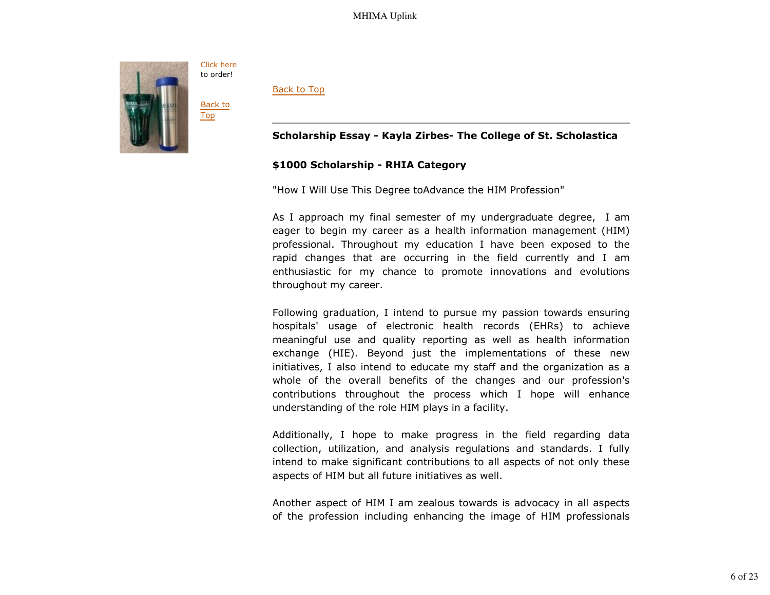

Back to Top

## **Scholarship Essay - Kayla Zirbes- The College of St. Scholastica**

### **\$1000 Scholarship - RHIA Category**

"How I Will Use This Degree toAdvance the HIM Profession"

As I approach my final semester of my undergraduate degree, I am eager to begin my career as a health information management (HIM) professional. Throughout my education I have been exposed to the rapid changes that are occurring in the field currently and I am enthusiastic for my chance to promote innovations and evolutions throughout my career.

Following graduation, I intend to pursue my passion towards ensuring hospitals' usage of electronic health records (EHRs) to achieve meaningful use and quality reporting as well as health information exchange (HIE). Beyond just the implementations of these new initiatives, I also intend to educate my staff and the organization as a whole of the overall benefits of the changes and our profession's contributions throughout the process which I hope will enhance understanding of the role HIM plays in a facility.

Additionally, I hope to make progress in the field regarding data collection, utilization, and analysis regulations and standards. I fully intend to make significant contributions to all aspects of not only these aspects of HIM but all future initiatives as well.

Another aspect of HIM I am zealous towards is advocacy in all aspects of the profession including enhancing the image of HIM professionals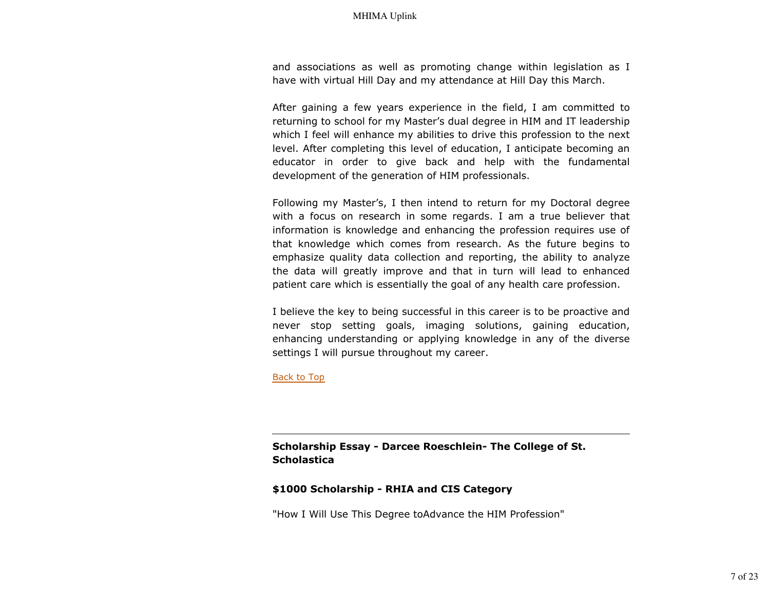and associations as well as promoting change within legislation as I have with virtual Hill Day and my attendance at Hill Day this March.

After gaining a few years experience in the field, I am committed to returning to school for my Master's dual degree in HIM and IT leadership which I feel will enhance my abilities to drive this profession to the next level. After completing this level of education, I anticipate becoming an educator in order to give back and help with the fundamental development of the generation of HIM professionals.

Following my Master's, I then intend to return for my Doctoral degree with a focus on research in some regards. I am a true believer that information is knowledge and enhancing the profession requires use of that knowledge which comes from research. As the future begins to emphasize quality data collection and reporting, the ability to analyze the data will greatly improve and that in turn will lead to enhanced patient care which is essentially the goal of any health care profession.

I believe the key to being successful in this career is to be proactive and never stop setting goals, imaging solutions, gaining education, enhancing understanding or applying knowledge in any of the diverse settings I will pursue throughout my career.

Back to Top

**Scholarship Essay - Darcee Roeschlein- The College of St. Scholastica**

#### **\$1000 Scholarship - RHIA and CIS Category**

"How I Will Use This Degree toAdvance the HIM Profession"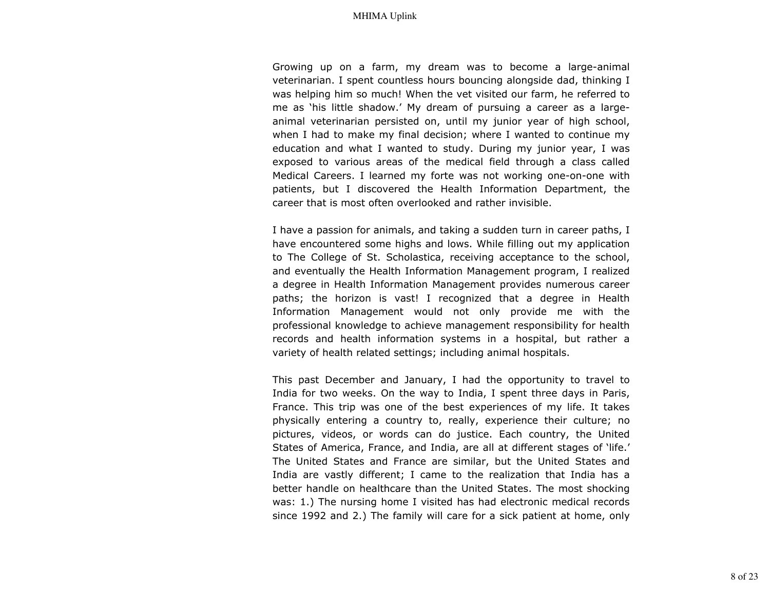Growing up on a farm, my dream was to become a large-animal veterinarian. I spent countless hours bouncing alongside dad, thinking I was helping him so much! When the vet visited our farm, he referred to me as 'his little shadow.' My dream of pursuing a career as a largeanimal veterinarian persisted on, until my junior year of high school, when I had to make my final decision; where I wanted to continue my education and what I wanted to study. During my junior year, I was exposed to various areas of the medical field through a class called Medical Careers. I learned my forte was not working one-on-one with patients, but I discovered the Health Information Department, the career that is most often overlooked and rather invisible.

I have a passion for animals, and taking a sudden turn in career paths, I have encountered some highs and lows. While filling out my application to The College of St. Scholastica, receiving acceptance to the school, and eventually the Health Information Management program, I realized a degree in Health Information Management provides numerous career paths; the horizon is vast! I recognized that a degree in Health Information Management would not only provide me with the professional knowledge to achieve management responsibility for health records and health information systems in a hospital, but rather a variety of health related settings; including animal hospitals.

This past December and January, I had the opportunity to travel to India for two weeks. On the way to India, I spent three days in Paris, France. This trip was one of the best experiences of my life. It takes physically entering a country to, really, experience their culture; no pictures, videos, or words can do justice. Each country, the United States of America, France, and India, are all at different stages of 'life.' The United States and France are similar, but the United States and India are vastly different; I came to the realization that India has a better handle on healthcare than the United States. The most shocking was: 1.) The nursing home I visited has had electronic medical records since 1992 and 2.) The family will care for a sick patient at home, only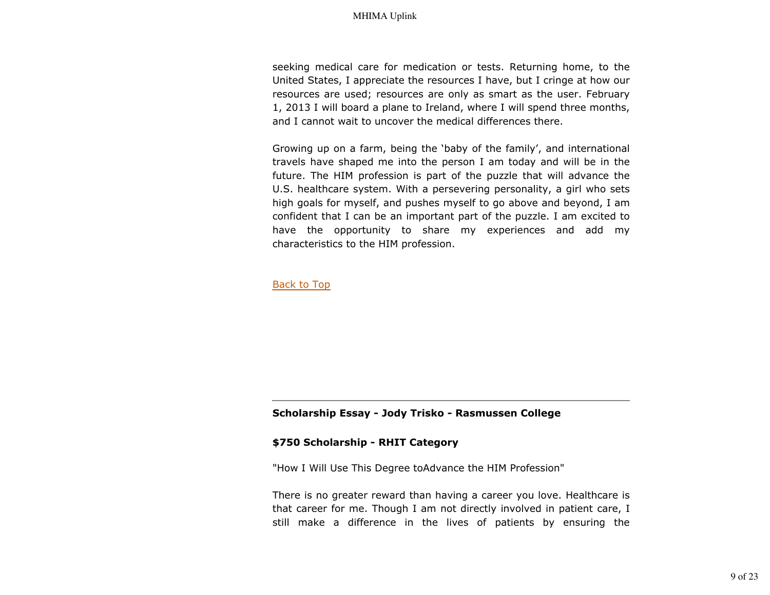seeking medical care for medication or tests. Returning home, to the United States, I appreciate the resources I have, but I cringe at how our resources are used; resources are only as smart as the user. February 1, 2013 I will board a plane to Ireland, where I will spend three months, and I cannot wait to uncover the medical differences there.

Growing up on a farm, being the 'baby of the family', and international travels have shaped me into the person I am today and will be in the future. The HIM profession is part of the puzzle that will advance the U.S. healthcare system. With a persevering personality, a girl who sets high goals for myself, and pushes myself to go above and beyond, I am confident that I can be an important part of the puzzle. I am excited to have the opportunity to share my experiences and add my characteristics to the HIM profession.

Back to Top

### **Scholarship Essay - Jody Trisko - Rasmussen College**

#### **\$750 Scholarship - RHIT Category**

"How I Will Use This Degree toAdvance the HIM Profession"

There is no greater reward than having a career you love. Healthcare is that career for me. Though I am not directly involved in patient care, I still make a difference in the lives of patients by ensuring the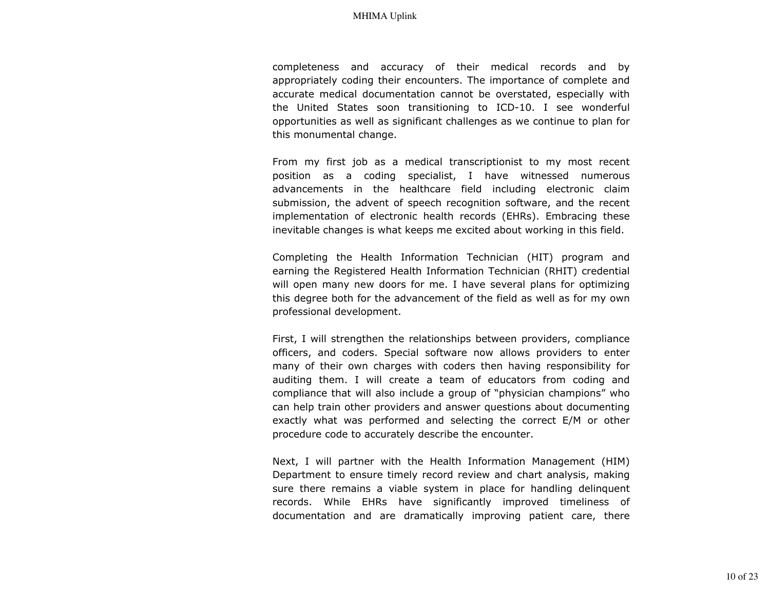completeness and accuracy of their medical records and by appropriately coding their encounters. The importance of complete and accurate medical documentation cannot be overstated, especially with the United States soon transitioning to ICD-10. I see wonderful opportunities as well as significant challenges as we continue to plan for this monumental change.

From my first job as a medical transcriptionist to my most recent position as a coding specialist, I have witnessed numerous advancements in the healthcare field including electronic claim submission, the advent of speech recognition software, and the recent implementation of electronic health records (EHRs). Embracing these inevitable changes is what keeps me excited about working in this field.

Completing the Health Information Technician (HIT) program and earning the Registered Health Information Technician (RHIT) credential will open many new doors for me. I have several plans for optimizing this degree both for the advancement of the field as well as for my own professional development.

First, I will strengthen the relationships between providers, compliance officers, and coders. Special software now allows providers to enter many of their own charges with coders then having responsibility for auditing them. I will create a team of educators from coding and compliance that will also include a group of "physician champions" who can help train other providers and answer questions about documenting exactly what was performed and selecting the correct E/M or other procedure code to accurately describe the encounter.

Next, I will partner with the Health Information Management (HIM) Department to ensure timely record review and chart analysis, making sure there remains a viable system in place for handling delinquent records. While EHRs have significantly improved timeliness of documentation and are dramatically improving patient care, there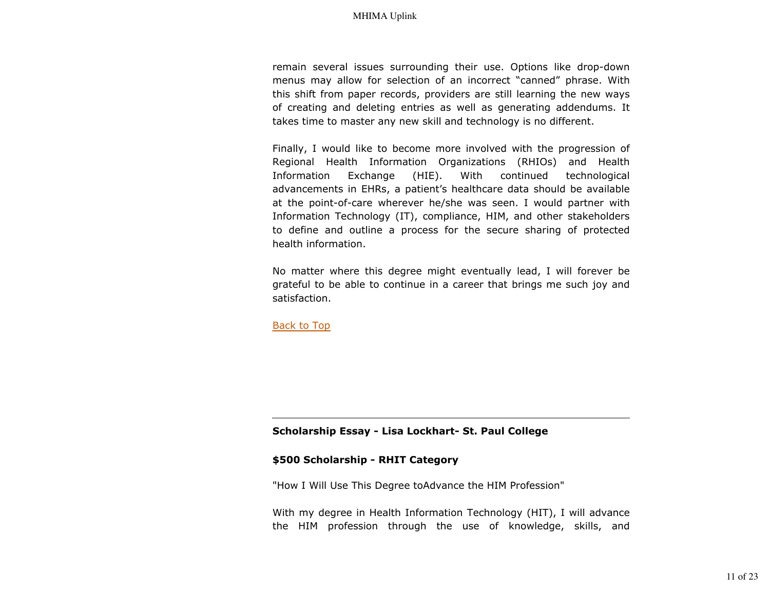remain several issues surrounding their use. Options like drop-down menus may allow for selection of an incorrect "canned" phrase. With this shift from paper records, providers are still learning the new ways of creating and deleting entries as well as generating addendums. It takes time to master any new skill and technology is no different.

Finally, I would like to become more involved with the progression of Regional Health Information Organizations (RHIOs) and Health Information Exchange (HIE). With continued technological advancements in EHRs, a patient's healthcare data should be available at the point-of-care wherever he/she was seen. I would partner with Information Technology (IT), compliance, HIM, and other stakeholders to define and outline a process for the secure sharing of protected health information.

No matter where this degree might eventually lead, I will forever be grateful to be able to continue in a career that brings me such joy and satisfaction.

Back to Top

#### **Scholarship Essay - Lisa Lockhart- St. Paul College**

#### **\$500 Scholarship - RHIT Category**

"How I Will Use This Degree toAdvance the HIM Profession"

With my degree in Health Information Technology (HIT), I will advance the HIM profession through the use of knowledge, skills, and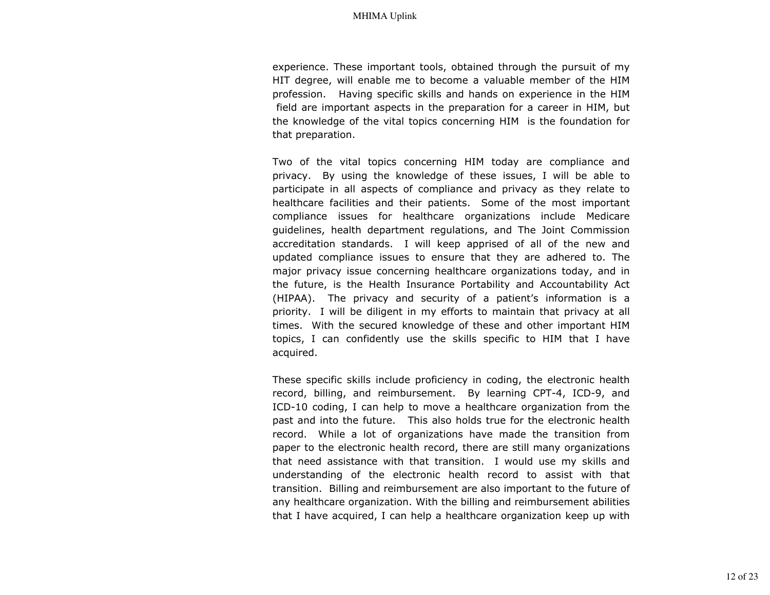experience. These important tools, obtained through the pursuit of my HIT degree, will enable me to become a valuable member of the HIM profession. Having specific skills and hands on experience in the HIM field are important aspects in the preparation for a career in HIM, but the knowledge of the vital topics concerning HIM is the foundation for that preparation.

Two of the vital topics concerning HIM today are compliance and privacy. By using the knowledge of these issues, I will be able to participate in all aspects of compliance and privacy as they relate to healthcare facilities and their patients. Some of the most important compliance issues for healthcare organizations include Medicare guidelines, health department regulations, and The Joint Commission accreditation standards. I will keep apprised of all of the new and updated compliance issues to ensure that they are adhered to. The major privacy issue concerning healthcare organizations today, and in the future, is the Health Insurance Portability and Accountability Act (HIPAA). The privacy and security of a patient's information is a priority. I will be diligent in my efforts to maintain that privacy at all times. With the secured knowledge of these and other important HIM topics, I can confidently use the skills specific to HIM that I have acquired.

These specific skills include proficiency in coding, the electronic health record, billing, and reimbursement. By learning CPT-4, ICD-9, and ICD-10 coding, I can help to move a healthcare organization from the past and into the future. This also holds true for the electronic health record. While a lot of organizations have made the transition from paper to the electronic health record, there are still many organizations that need assistance with that transition. I would use my skills and understanding of the electronic health record to assist with that transition. Billing and reimbursement are also important to the future of any healthcare organization. With the billing and reimbursement abilities that I have acquired, I can help a healthcare organization keep up with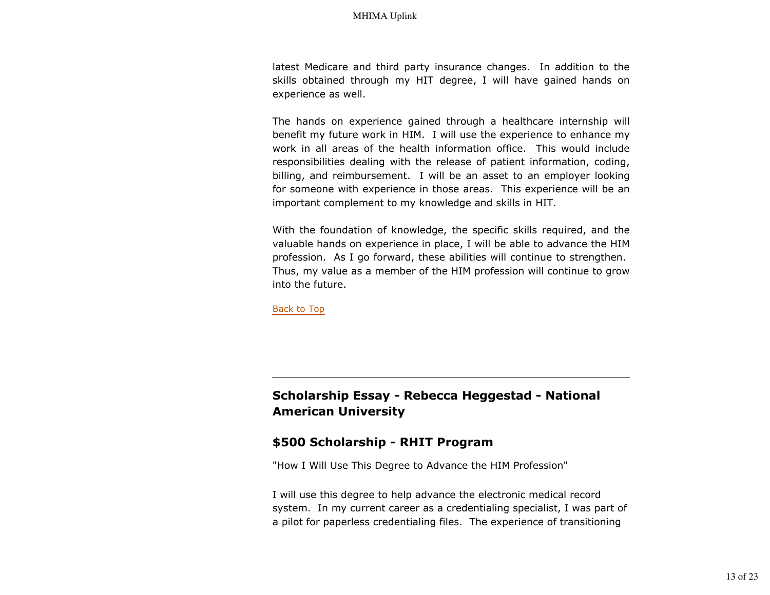latest Medicare and third party insurance changes. In addition to the skills obtained through my HIT degree, I will have gained hands on experience as well.

The hands on experience gained through a healthcare internship will benefit my future work in HIM. I will use the experience to enhance my work in all areas of the health information office. This would include responsibilities dealing with the release of patient information, coding, billing, and reimbursement. I will be an asset to an employer looking for someone with experience in those areas. This experience will be an important complement to my knowledge and skills in HIT.

With the foundation of knowledge, the specific skills required, and the valuable hands on experience in place, I will be able to advance the HIM profession. As I go forward, these abilities will continue to strengthen. Thus, my value as a member of the HIM profession will continue to grow into the future.

Back to Top

# **Scholarship Essay - Rebecca Heggestad - National American University**

## **\$500 Scholarship - RHIT Program**

"How I Will Use This Degree to Advance the HIM Profession"

I will use this degree to help advance the electronic medical record system. In my current career as a credentialing specialist, I was part of a pilot for paperless credentialing files. The experience of transitioning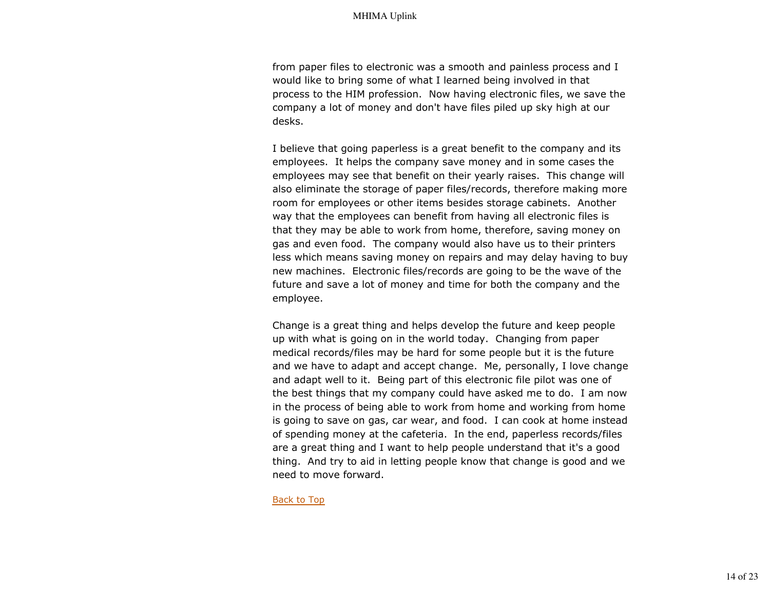from paper files to electronic was a smooth and painless process and I would like to bring some of what I learned being involved in that process to the HIM profession. Now having electronic files, we save the company a lot of money and don't have files piled up sky high at our desks.

I believe that going paperless is a great benefit to the company and its employees. It helps the company save money and in some cases the employees may see that benefit on their yearly raises. This change will also eliminate the storage of paper files/records, therefore making more room for employees or other items besides storage cabinets. Another way that the employees can benefit from having all electronic files is that they may be able to work from home, therefore, saving money on gas and even food. The company would also have us to their printers less which means saving money on repairs and may delay having to buy new machines. Electronic files/records are going to be the wave of the future and save a lot of money and time for both the company and the employee.

Change is a great thing and helps develop the future and keep people up with what is going on in the world today. Changing from paper medical records/files may be hard for some people but it is the future and we have to adapt and accept change. Me, personally, I love change and adapt well to it. Being part of this electronic file pilot was one of the best things that my company could have asked me to do. I am now in the process of being able to work from home and working from home is going to save on gas, car wear, and food. I can cook at home instead of spending money at the cafeteria. In the end, paperless records/files are a great thing and I want to help people understand that it's a good thing. And try to aid in letting people know that change is good and we need to move forward.

Back to Top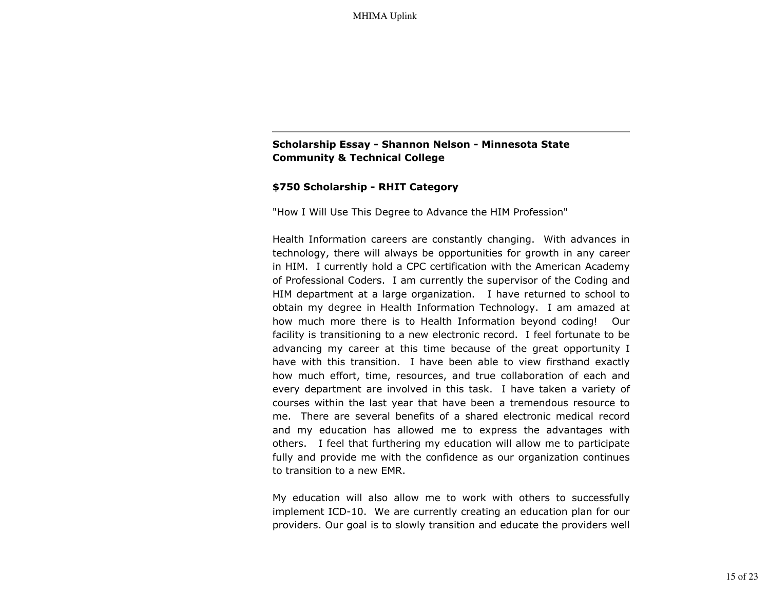## **Scholarship Essay - Shannon Nelson - Minnesota State Community & Technical College**

### **\$750 Scholarship - RHIT Category**

"How I Will Use This Degree to Advance the HIM Profession"

Health Information careers are constantly changing. With advances in technology, there will always be opportunities for growth in any career in HIM. I currently hold a CPC certification with the American Academy of Professional Coders. I am currently the supervisor of the Coding and HIM department at a large organization. I have returned to school to obtain my degree in Health Information Technology. I am amazed at how much more there is to Health Information beyond coding! Our facility is transitioning to a new electronic record. I feel fortunate to be advancing my career at this time because of the great opportunity I have with this transition. I have been able to view firsthand exactly how much effort, time, resources, and true collaboration of each and every department are involved in this task. I have taken a variety of courses within the last year that have been a tremendous resource to me. There are several benefits of a shared electronic medical record and my education has allowed me to express the advantages with others. I feel that furthering my education will allow me to participate fully and provide me with the confidence as our organization continues to transition to a new EMR.

My education will also allow me to work with others to successfully implement ICD-10. We are currently creating an education plan for our providers. Our goal is to slowly transition and educate the providers well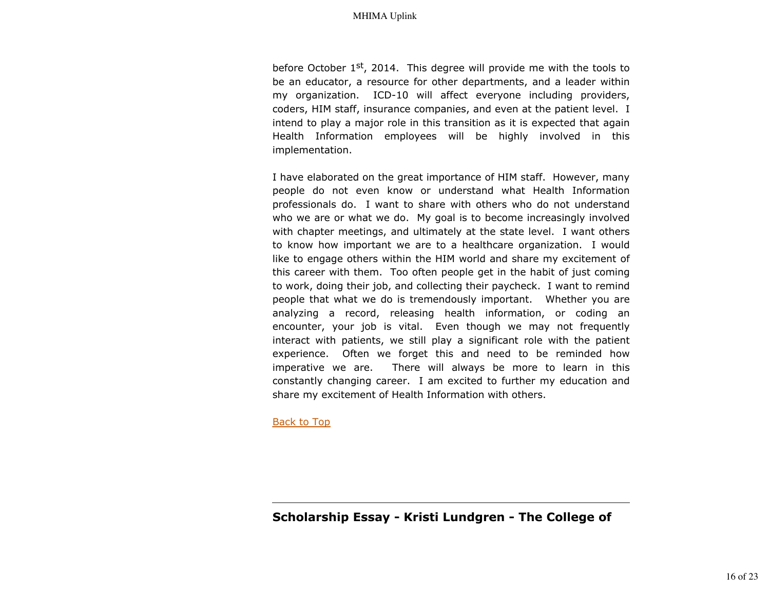before October 1st, 2014. This degree will provide me with the tools to be an educator, a resource for other departments, and a leader within my organization. ICD-10 will affect everyone including providers, coders, HIM staff, insurance companies, and even at the patient level. I intend to play a major role in this transition as it is expected that again Health Information employees will be highly involved in this implementation.

I have elaborated on the great importance of HIM staff. However, many people do not even know or understand what Health Information professionals do. I want to share with others who do not understand who we are or what we do. My goal is to become increasingly involved with chapter meetings, and ultimately at the state level. I want others to know how important we are to a healthcare organization. I would like to engage others within the HIM world and share my excitement of this career with them. Too often people get in the habit of just coming to work, doing their job, and collecting their paycheck. I want to remind people that what we do is tremendously important. Whether you are analyzing a record, releasing health information, or coding an encounter, your job is vital. Even though we may not frequently interact with patients, we still play a significant role with the patient experience. Often we forget this and need to be reminded how imperative we are. There will always be more to learn in this constantly changing career. I am excited to further my education and share my excitement of Health Information with others.

Back to Top

**Scholarship Essay - Kristi Lundgren - The College of**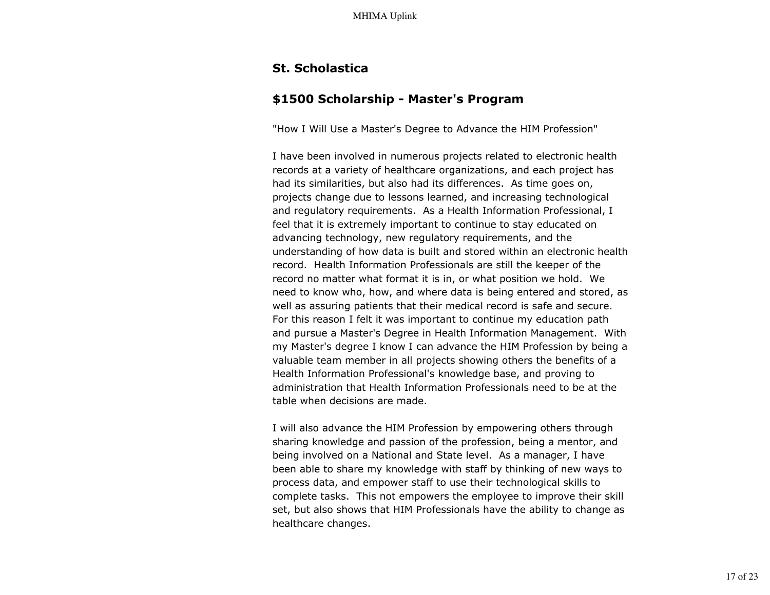# **St. Scholastica**

# **\$1500 Scholarship - Master's Program**

"How I Will Use a Master's Degree to Advance the HIM Profession"

I have been involved in numerous projects related to electronic health records at a variety of healthcare organizations, and each project has had its similarities, but also had its differences. As time goes on, projects change due to lessons learned, and increasing technological and regulatory requirements. As a Health Information Professional, I feel that it is extremely important to continue to stay educated on advancing technology, new regulatory requirements, and the understanding of how data is built and stored within an electronic health record. Health Information Professionals are still the keeper of the record no matter what format it is in, or what position we hold. We need to know who, how, and where data is being entered and stored, as well as assuring patients that their medical record is safe and secure. For this reason I felt it was important to continue my education path and pursue a Master's Degree in Health Information Management. With my Master's degree I know I can advance the HIM Profession by being a valuable team member in all projects showing others the benefits of a Health Information Professional's knowledge base, and proving to administration that Health Information Professionals need to be at the table when decisions are made.

I will also advance the HIM Profession by empowering others through sharing knowledge and passion of the profession, being a mentor, and being involved on a National and State level. As a manager, I have been able to share my knowledge with staff by thinking of new ways to process data, and empower staff to use their technological skills to complete tasks. This not empowers the employee to improve their skill set, but also shows that HIM Professionals have the ability to change as healthcare changes.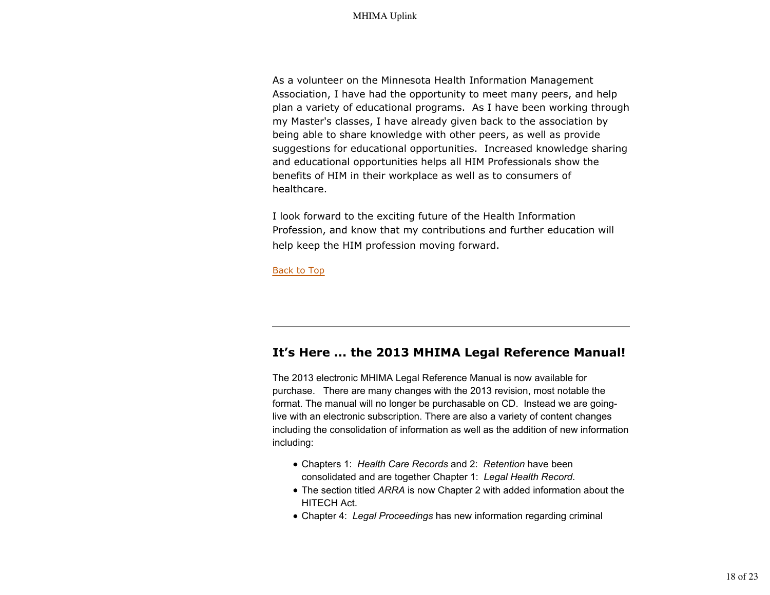As a volunteer on the Minnesota Health Information Management Association, I have had the opportunity to meet many peers, and help plan a variety of educational programs. As I have been working through my Master's classes, I have already given back to the association by being able to share knowledge with other peers, as well as provide suggestions for educational opportunities. Increased knowledge sharing and educational opportunities helps all HIM Professionals show the benefits of HIM in their workplace as well as to consumers of healthcare.

I look forward to the exciting future of the Health Information Profession, and know that my contributions and further education will help keep the HIM profession moving forward.

Back to Top

# **It's Here ... the 2013 MHIMA Legal Reference Manual!**

The 2013 electronic MHIMA Legal Reference Manual is now available for purchase. There are many changes with the 2013 revision, most notable the format. The manual will no longer be purchasable on CD. Instead we are goinglive with an electronic subscription. There are also a variety of content changes including the consolidation of information as well as the addition of new information including:

- Chapters 1: *Health Care Records* and 2: *Retention* have been consolidated and are together Chapter 1: *Legal Health Record*.
- The section titled *ARRA* is now Chapter 2 with added information about the HITECH Act.
- Chapter 4: *Legal Proceedings* has new information regarding criminal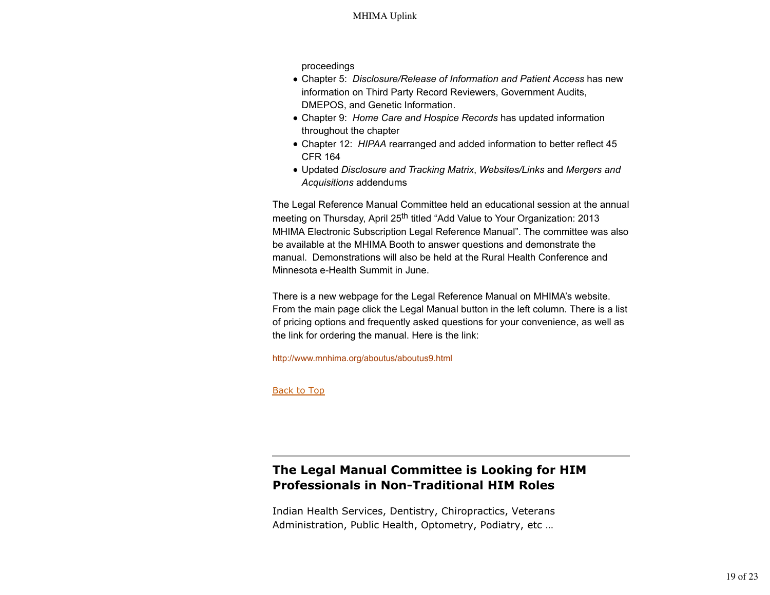proceedings

- Chapter 5: *Disclosure/Release of Information and Patient Access* has new information on Third Party Record Reviewers, Government Audits, DMEPOS, and Genetic Information.
- Chapter 9: *Home Care and Hospice Records* has updated information throughout the chapter
- Chapter 12: *HIPAA* rearranged and added information to better reflect 45 CFR 164
- Updated *Disclosure and Tracking Matrix*, *Websites/Links* and *Mergers and Acquisitions* addendums

The Legal Reference Manual Committee held an educational session at the annual meeting on Thursday, April 25<sup>th</sup> titled "Add Value to Your Organization: 2013 MHIMA Electronic Subscription Legal Reference Manual". The committee was also be available at the MHIMA Booth to answer questions and demonstrate the manual. Demonstrations will also be held at the Rural Health Conference and Minnesota e-Health Summit in June.

There is a new webpage for the Legal Reference Manual on MHIMA's website. From the main page click the Legal Manual button in the left column. There is a list of pricing options and frequently asked questions for your convenience, as well as the link for ordering the manual. Here is the link:

http://www.mnhima.org/aboutus/aboutus9.html

Back to Top

# **The Legal Manual Committee is Looking for HIM Professionals in Non-Traditional HIM Roles**

Indian Health Services, Dentistry, Chiropractics, Veterans Administration, Public Health, Optometry, Podiatry, etc …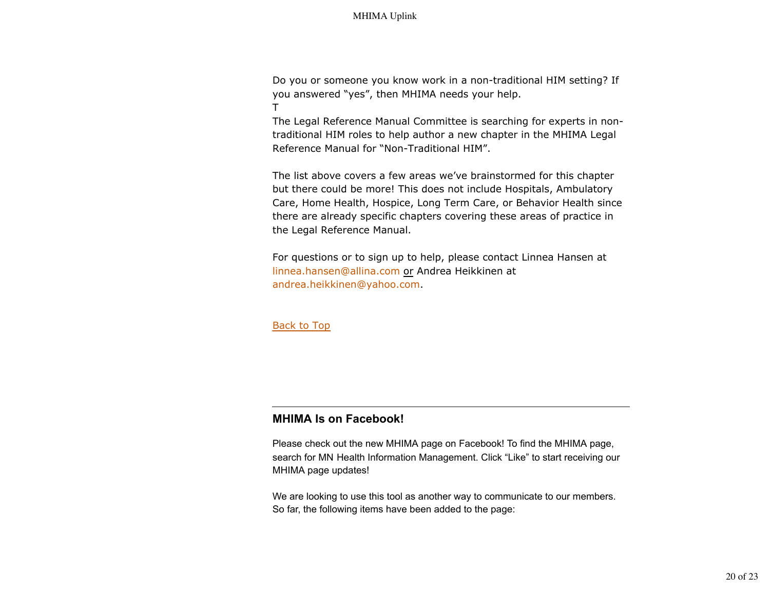Do you or someone you know work in a non-traditional HIM setting? If you answered "yes", then MHIMA needs your help. T

The Legal Reference Manual Committee is searching for experts in nontraditional HIM roles to help author a new chapter in the MHIMA Legal Reference Manual for "Non-Traditional HIM".

The list above covers a few areas we've brainstormed for this chapter but there could be more! This does not include Hospitals, Ambulatory Care, Home Health, Hospice, Long Term Care, or Behavior Health since there are already specific chapters covering these areas of practice in the Legal Reference Manual.

For questions or to sign up to help, please contact Linnea Hansen at linnea.hansen@allina.com or Andrea Heikkinen at andrea.heikkinen@yahoo.com.

Back to Top

# **MHIMA Is on Facebook!**

Please check out the new MHIMA page on Facebook! To find the MHIMA page, search for MN Health Information Management. Click "Like" to start receiving our MHIMA page updates!

We are looking to use this tool as another way to communicate to our members. So far, the following items have been added to the page: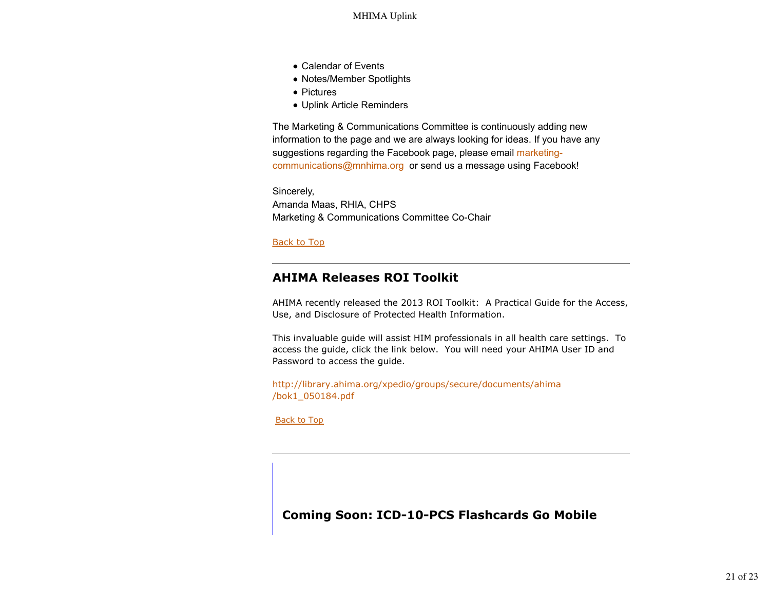- Calendar of Events
- Notes/Member Spotlights
- Pictures
- Uplink Article Reminders

The Marketing & Communications Committee is continuously adding new information to the page and we are always looking for ideas. If you have any suggestions regarding the Facebook page, please email marketingcommunications@mnhima.org or send us a message using Facebook!

Sincerely, Amanda Maas, RHIA, CHPS Marketing & Communications Committee Co-Chair

Back to Top

# **AHIMA Releases ROI Toolkit**

AHIMA recently released the 2013 ROI Toolkit: A Practical Guide for the Access, Use, and Disclosure of Protected Health Information.

This invaluable guide will assist HIM professionals in all health care settings. To access the guide, click the link below. You will need your AHIMA User ID and Password to access the guide.

http://library.ahima.org/xpedio/groups/secure/documents/ahima /bok1\_050184.pdf

Back to Top

**Coming Soon: ICD-10-PCS Flashcards Go Mobile**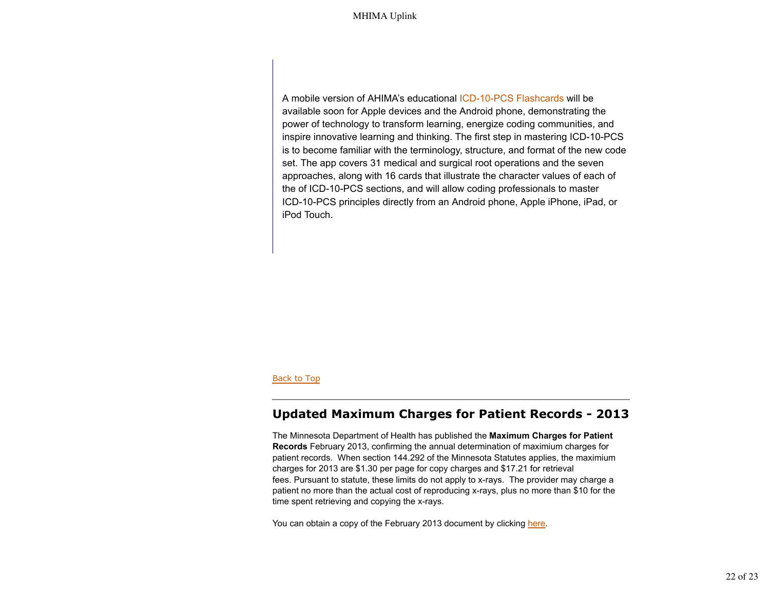A mobile version of AHIMA's educational ICD-10-PCS Flashcards will be available soon for Apple devices and the Android phone, demonstrating the power of technology to transform learning, energize coding communities, and inspire innovative learning and thinking. The first step in mastering ICD-10-PCS is to become familiar with the terminology, structure, and format of the new code set. The app covers 31 medical and surgical root operations and the seven approaches, along with 16 cards that illustrate the character values of each of the of ICD-10-PCS sections, and will allow coding professionals to master ICD-10-PCS principles directly from an Android phone, Apple iPhone, iPad, or iPod Touch.

#### Back to Top

## **Updated Maximum Charges for Patient Records - 2013**

The Minnesota Department of Health has published the **Maximum Charges for Patient Records** February 2013, confirming the annual determination of maximium charges for patient records. When section 144.292 of the Minnesota Statutes applies, the maximium charges for 2013 are \$1.30 per page for copy charges and \$17.21 for retrieval fees. Pursuant to statute, these limits do not apply to x-rays. The provider may charge a patient no more than the actual cost of reproducing x-rays, plus no more than \$10 for the time spent retrieving and copying the x-rays.

You can obtain a copy of the February 2013 document by clicking here.